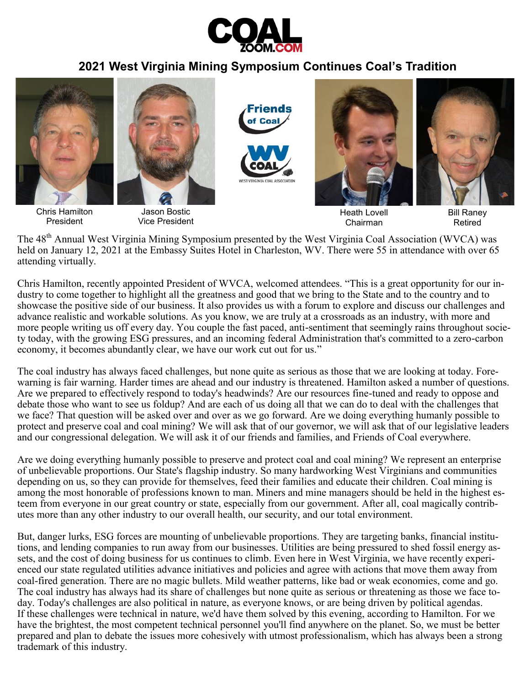

## **2021 West Virginia Mining Symposium Continues Coal's Tradition**



Heath Lovell Chairman

Bill Raney Retired

The 48<sup>th</sup> Annual West Virginia Mining Symposium presented by the West Virginia Coal Association (WVCA) was held on January 12, 2021 at the Embassy Suites Hotel in Charleston, WV. There were 55 in attendance with over 65 attending virtually.

Vice President

President

Chris Hamilton, recently appointed President of WVCA, welcomed attendees. "This is a great opportunity for our industry to come together to highlight all the greatness and good that we bring to the State and to the country and to showcase the positive side of our business. It also provides us with a forum to explore and discuss our challenges and advance realistic and workable solutions. As you know, we are truly at a crossroads as an industry, with more and more people writing us off every day. You couple the fast paced, anti-sentiment that seemingly rains throughout society today, with the growing ESG pressures, and an incoming federal Administration that's committed to a zero-carbon economy, it becomes abundantly clear, we have our work cut out for us."

The coal industry has always faced challenges, but none quite as serious as those that we are looking at today. Forewarning is fair warning. Harder times are ahead and our industry is threatened. Hamilton asked a number of questions. Are we prepared to effectively respond to today's headwinds? Are our resources fine-tuned and ready to oppose and debate those who want to see us foldup? And are each of us doing all that we can do to deal with the challenges that we face? That question will be asked over and over as we go forward. Are we doing everything humanly possible to protect and preserve coal and coal mining? We will ask that of our governor, we will ask that of our legislative leaders and our congressional delegation. We will ask it of our friends and families, and Friends of Coal everywhere.

Are we doing everything humanly possible to preserve and protect coal and coal mining? We represent an enterprise of unbelievable proportions. Our State's flagship industry. So many hardworking West Virginians and communities depending on us, so they can provide for themselves, feed their families and educate their children. Coal mining is among the most honorable of professions known to man. Miners and mine managers should be held in the highest esteem from everyone in our great country or state, especially from our government. After all, coal magically contributes more than any other industry to our overall health, our security, and our total environment.

But, danger lurks, ESG forces are mounting of unbelievable proportions. They are targeting banks, financial institutions, and lending companies to run away from our businesses. Utilities are being pressured to shed fossil energy assets, and the cost of doing business for us continues to climb. Even here in West Virginia, we have recently experienced our state regulated utilities advance initiatives and policies and agree with actions that move them away from coal-fired generation. There are no magic bullets. Mild weather patterns, like bad or weak economies, come and go. The coal industry has always had its share of challenges but none quite as serious or threatening as those we face today. Today's challenges are also political in nature, as everyone knows, or are being driven by political agendas. If these challenges were technical in nature, we'd have them solved by this evening, according to Hamilton. For we have the brightest, the most competent technical personnel you'll find anywhere on the planet. So, we must be better prepared and plan to debate the issues more cohesively with utmost professionalism, which has always been a strong trademark of this industry.